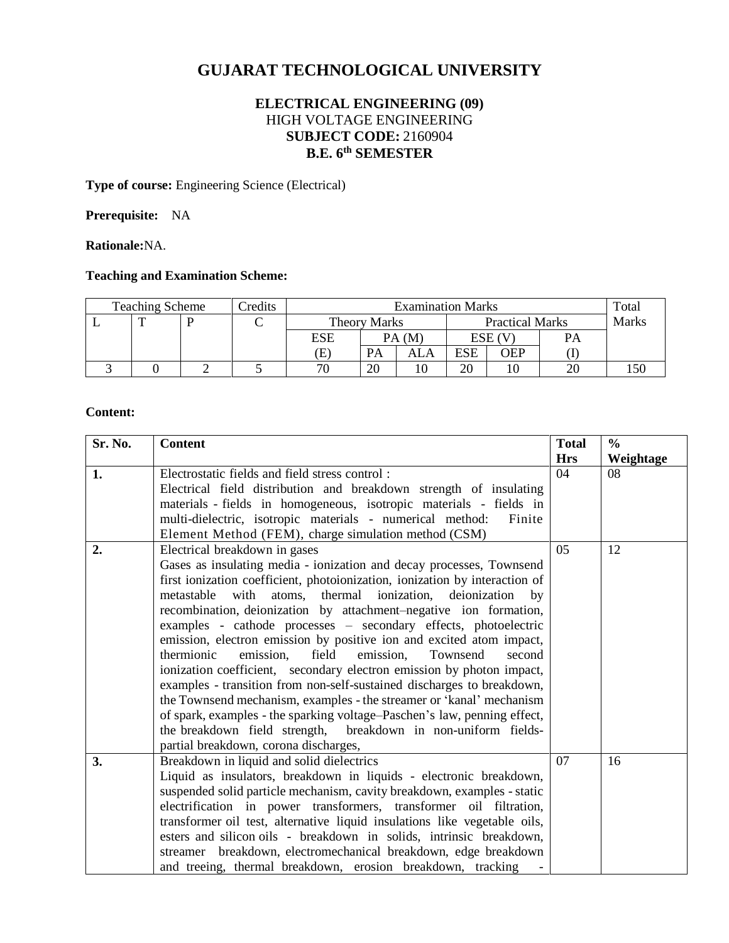# **GUJARAT TECHNOLOGICAL UNIVERSITY**

# **ELECTRICAL ENGINEERING (09)** HIGH VOLTAGE ENGINEERING **SUBJECT CODE:** 2160904 **B.E. 6 th SEMESTER**

**Type of course:** Engineering Science (Electrical)

# **Prerequisite:** NA

**Rationale:**NA.

# **Teaching and Examination Scheme:**

| <b>Teaching Scheme</b> |  |  | Credits | <b>Examination Marks</b> |       |     |                        | Total      |              |      |
|------------------------|--|--|---------|--------------------------|-------|-----|------------------------|------------|--------------|------|
|                        |  |  |         | <b>Theory Marks</b>      |       |     | <b>Practical Marks</b> |            | <b>Marks</b> |      |
|                        |  |  |         | ESE                      | PA(M) |     | ESE (V                 |            | PA           |      |
|                        |  |  |         | Œ                        | PA    | ALA | ESE                    | <b>JEP</b> |              |      |
|                        |  |  |         | 70                       | 20    |     | 20                     |            |              | l 50 |

#### **Content:**

| Sr. No. | <b>Content</b>                                                                                                                                                                                                                                                                                                                                                                                                                                                                                                                                                                                                                                                                                                                                                                                                                                                                                                                                                    | <b>Total</b><br><b>Hrs</b> | $\frac{0}{0}$<br>Weightage |
|---------|-------------------------------------------------------------------------------------------------------------------------------------------------------------------------------------------------------------------------------------------------------------------------------------------------------------------------------------------------------------------------------------------------------------------------------------------------------------------------------------------------------------------------------------------------------------------------------------------------------------------------------------------------------------------------------------------------------------------------------------------------------------------------------------------------------------------------------------------------------------------------------------------------------------------------------------------------------------------|----------------------------|----------------------------|
| 1.      | Electrostatic fields and field stress control:<br>Electrical field distribution and breakdown strength of insulating<br>materials - fields in homogeneous, isotropic materials - fields in<br>multi-dielectric, isotropic materials - numerical method:<br>Finite<br>Element Method (FEM), charge simulation method (CSM)                                                                                                                                                                                                                                                                                                                                                                                                                                                                                                                                                                                                                                         | 04                         | 08                         |
| 2.      | Electrical breakdown in gases<br>Gases as insulating media - ionization and decay processes, Townsend<br>first ionization coefficient, photoionization, ionization by interaction of<br>metastable<br>with atoms, thermal ionization, deionization<br>by<br>recombination, deionization by attachment-negative ion formation,<br>examples - cathode processes - secondary effects, photoelectric<br>emission, electron emission by positive ion and excited atom impact,<br>thermionic<br>emission.<br>field<br>emission.<br>Townsend<br>second<br>ionization coefficient, secondary electron emission by photon impact,<br>examples - transition from non-self-sustained discharges to breakdown,<br>the Townsend mechanism, examples - the streamer or 'kanal' mechanism<br>of spark, examples - the sparking voltage-Paschen's law, penning effect,<br>the breakdown field strength, breakdown in non-uniform fields-<br>partial breakdown, corona discharges, | 05                         | 12                         |
| 3.      | Breakdown in liquid and solid dielectrics<br>Liquid as insulators, breakdown in liquids - electronic breakdown,<br>suspended solid particle mechanism, cavity breakdown, examples - static<br>electrification in power transformers, transformer oil filtration,<br>transformer oil test, alternative liquid insulations like vegetable oils,<br>esters and silicon oils - breakdown in solids, intrinsic breakdown,<br>streamer breakdown, electromechanical breakdown, edge breakdown<br>and treeing, thermal breakdown, erosion breakdown, tracking                                                                                                                                                                                                                                                                                                                                                                                                            | 07                         | 16                         |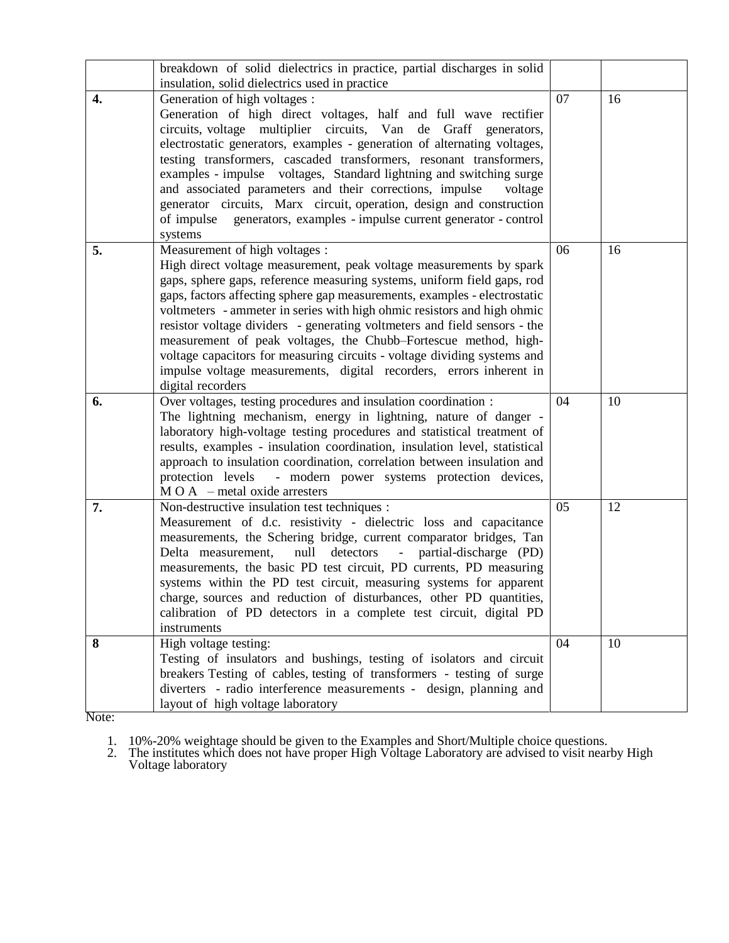|    | breakdown of solid dielectrics in practice, partial discharges in solid                                                                                                                                                                                                                                                                                                                                                                                                                                                                                                                                                                                          |    |    |
|----|------------------------------------------------------------------------------------------------------------------------------------------------------------------------------------------------------------------------------------------------------------------------------------------------------------------------------------------------------------------------------------------------------------------------------------------------------------------------------------------------------------------------------------------------------------------------------------------------------------------------------------------------------------------|----|----|
|    | insulation, solid dielectrics used in practice                                                                                                                                                                                                                                                                                                                                                                                                                                                                                                                                                                                                                   |    |    |
| 4. | Generation of high voltages :<br>Generation of high direct voltages, half and full wave rectifier<br>circuits, voltage multiplier circuits, Van de Graff generators,<br>electrostatic generators, examples - generation of alternating voltages,<br>testing transformers, cascaded transformers, resonant transformers,<br>examples - impulse voltages, Standard lightning and switching surge<br>and associated parameters and their corrections, impulse<br>voltage<br>generator circuits, Marx circuit, operation, design and construction<br>of impulse generators, examples - impulse current generator - control<br>systems                                | 07 | 16 |
| 5. | Measurement of high voltages :<br>High direct voltage measurement, peak voltage measurements by spark<br>gaps, sphere gaps, reference measuring systems, uniform field gaps, rod<br>gaps, factors affecting sphere gap measurements, examples - electrostatic<br>voltmeters - ammeter in series with high ohmic resistors and high ohmic<br>resistor voltage dividers - generating voltmeters and field sensors - the<br>measurement of peak voltages, the Chubb-Fortescue method, high-<br>voltage capacitors for measuring circuits - voltage dividing systems and<br>impulse voltage measurements, digital recorders, errors inherent in<br>digital recorders | 06 | 16 |
| 6. | Over voltages, testing procedures and insulation coordination :<br>The lightning mechanism, energy in lightning, nature of danger -<br>laboratory high-voltage testing procedures and statistical treatment of<br>results, examples - insulation coordination, insulation level, statistical<br>approach to insulation coordination, correlation between insulation and<br>protection levels - modern power systems protection devices,<br>$\overline{M}$ O A – metal oxide arresters                                                                                                                                                                            | 04 | 10 |
| 7. | Non-destructive insulation test techniques :<br>Measurement of d.c. resistivity - dielectric loss and capacitance<br>measurements, the Schering bridge, current comparator bridges, Tan<br>null<br>detectors<br>partial-discharge (PD)<br>Delta measurement,<br>$\equiv$<br>measurements, the basic PD test circuit, PD currents, PD measuring<br>systems within the PD test circuit, measuring systems for apparent<br>charge, sources and reduction of disturbances, other PD quantities,<br>calibration of PD detectors in a complete test circuit, digital PD<br>instruments                                                                                 | 05 | 12 |
| 8  | High voltage testing:<br>Testing of insulators and bushings, testing of isolators and circuit<br>breakers Testing of cables, testing of transformers - testing of surge<br>diverters - radio interference measurements - design, planning and<br>layout of high voltage laboratory                                                                                                                                                                                                                                                                                                                                                                               | 04 | 10 |

Note:

1. 10%-20% weightage should be given to the Examples and Short/Multiple choice questions.

2. The institutes which does not have proper High Voltage Laboratory are advised to visit nearby High Voltage laboratory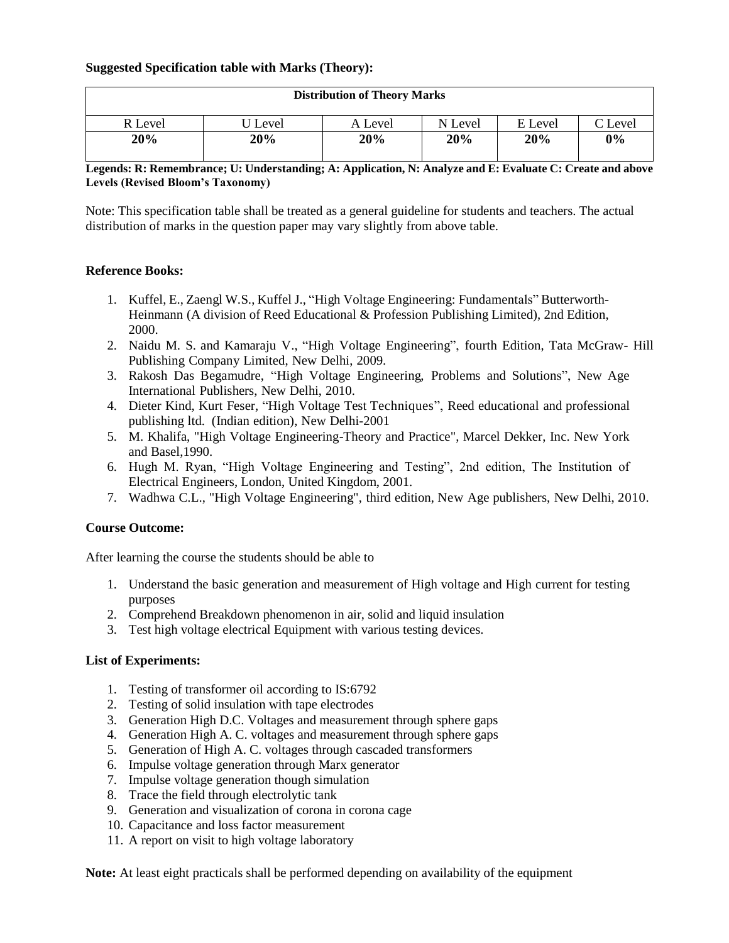## **Suggested Specification table with Marks (Theory):**

| <b>Distribution of Theory Marks</b> |       |         |         |         |         |  |  |
|-------------------------------------|-------|---------|---------|---------|---------|--|--|
| R Level                             | Level | A Level | N Level | E Level | C Level |  |  |
| 20%                                 | 20%   | 20%     | 20%     | 20%     | 0%      |  |  |

## **Legends: R: Remembrance; U: Understanding; A: Application, N: Analyze and E: Evaluate C: Create and above Levels (Revised Bloom's Taxonomy)**

Note: This specification table shall be treated as a general guideline for students and teachers. The actual distribution of marks in the question paper may vary slightly from above table.

## **Reference Books:**

- 1. Kuffel, E., Zaengl W.S., Kuffel J., "High Voltage Engineering: Fundamentals" Butterworth-Heinmann (A division of Reed Educational & Profession Publishing Limited), 2nd Edition, 2000.
- 2. Naidu M. S. and Kamaraju V., "High Voltage Engineering", fourth Edition, Tata McGraw- Hill Publishing Company Limited, New Delhi, 2009.
- 3. Rakosh Das Begamudre, "High Voltage Engineering, Problems and Solutions", New Age International Publishers, New Delhi, 2010.
- 4. Dieter Kind, Kurt Feser, "High Voltage Test Techniques", Reed educational and professional publishing ltd. (Indian edition), New Delhi-2001
- 5. M. Khalifa, "High Voltage Engineering-Theory and Practice", Marcel Dekker, Inc. New York and Basel,1990.
- 6. Hugh M. Ryan, "High Voltage Engineering and Testing", 2nd edition, The Institution of Electrical Engineers, London, United Kingdom, 2001.
- 7. Wadhwa C.L., "High Voltage Engineering", third edition, New Age publishers, New Delhi, 2010.

## **Course Outcome:**

After learning the course the students should be able to

- 1. Understand the basic generation and measurement of High voltage and High current for testing purposes
- 2. Comprehend Breakdown phenomenon in air, solid and liquid insulation
- 3. Test high voltage electrical Equipment with various testing devices.

## **List of Experiments:**

- 1. Testing of transformer oil according to IS:6792
- 2. Testing of solid insulation with tape electrodes
- 3. Generation High D.C. Voltages and measurement through sphere gaps
- 4. Generation High A. C. voltages and measurement through sphere gaps
- 5. Generation of High A. C. voltages through cascaded transformers
- 6. Impulse voltage generation through Marx generator
- 7. Impulse voltage generation though simulation
- 8. Trace the field through electrolytic tank
- 9. Generation and visualization of corona in corona cage
- 10. Capacitance and loss factor measurement
- 11. A report on visit to high voltage laboratory

**Note:** At least eight practicals shall be performed depending on availability of the equipment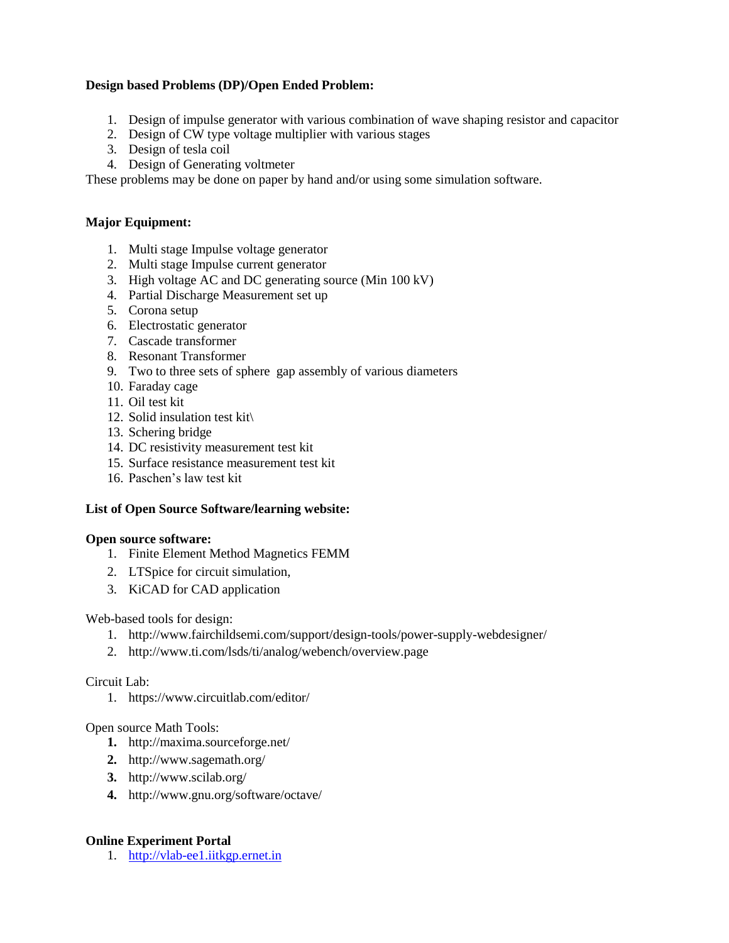## **Design based Problems (DP)/Open Ended Problem:**

- 1. Design of impulse generator with various combination of wave shaping resistor and capacitor
- 2. Design of CW type voltage multiplier with various stages
- 3. Design of tesla coil
- 4. Design of Generating voltmeter

These problems may be done on paper by hand and/or using some simulation software.

## **Major Equipment:**

- 1. Multi stage Impulse voltage generator
- 2. Multi stage Impulse current generator
- 3. High voltage AC and DC generating source (Min 100 kV)
- 4. Partial Discharge Measurement set up
- 5. Corona setup
- 6. Electrostatic generator
- 7. Cascade transformer
- 8. Resonant Transformer
- 9. Two to three sets of sphere gap assembly of various diameters
- 10. Faraday cage
- 11. Oil test kit
- 12. Solid insulation test kit\
- 13. Schering bridge
- 14. DC resistivity measurement test kit
- 15. Surface resistance measurement test kit
- 16. Paschen's law test kit

## **List of Open Source Software/learning website:**

## **Open source software:**

- 1. Finite Element Method Magnetics FEMM
- 2. LTSpice for circuit simulation,
- 3. KiCAD for CAD application

Web-based tools for design:

- 1. http://www.fairchildsemi.com/support/design-tools/power-supply-webdesigner/
- 2. http://www.ti.com/lsds/ti/analog/webench/overview.page

## Circuit Lab:

1. https://www.circuitlab.com/editor/

## Open source Math Tools:

- **1.** http://maxima.sourceforge.net/
- **2.** http://www.sagemath.org/
- **3.** http://www.scilab.org/
- **4.** http://www.gnu.org/software/octave/

## **Online Experiment Portal**

1. [http://vlab-ee1.iitkgp.ernet.in](http://vlab-ee1.iitkgp.ernet.in/)